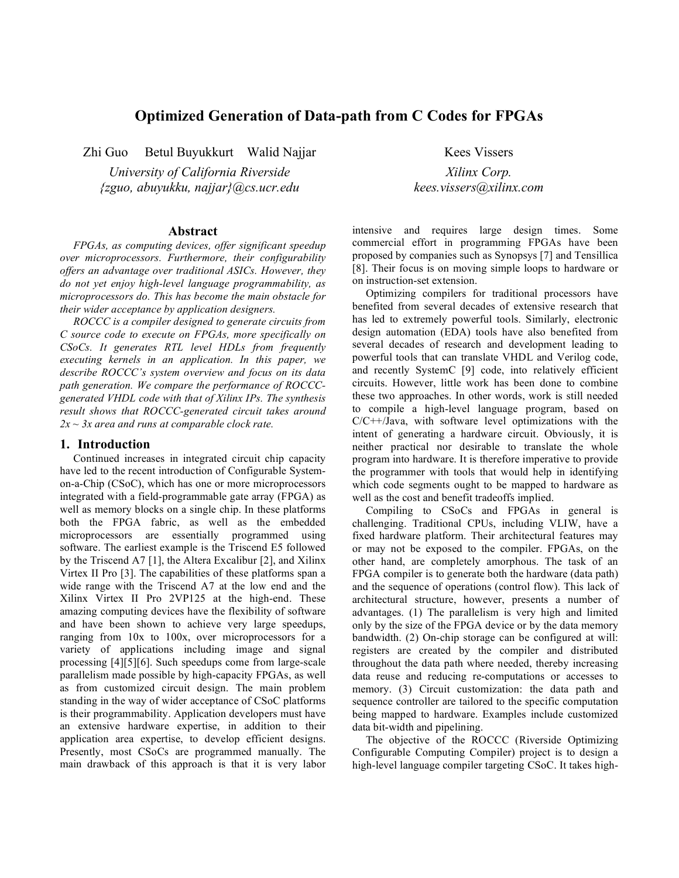# **Optimized Generation of Data-path from C Codes for FPGAs**

Zhi Guo Betul Buyukkurt Walid Najjar

*University of California Riverside {zguo, abuyukku, najjar}@cs.ucr.edu*

### **Abstract**

*FPGAs, as computing devices, offer significant speedup over microprocessors. Furthermore, their configurability offers an advantage over traditional ASICs. However, they do not yet enjoy high-level language programmability, as microprocessors do. This has become the main obstacle for their wider acceptance by application designers.*

*ROCCC is a compiler designed to generate circuits from C source code to execute on FPGAs, more specifically on CSoCs. It generates RTL level HDLs from frequently executing kernels in an application. In this paper, we describe ROCCC's system overview and focus on its data path generation. We compare the performance of ROCCCgenerated VHDL code with that of Xilinx IPs. The synthesis result shows that ROCCC-generated circuit takes around 2x ~ 3x area and runs at comparable clock rate.*

#### **1. Introduction**

Continued increases in integrated circuit chip capacity have led to the recent introduction of Configurable Systemon-a-Chip (CSoC), which has one or more microprocessors integrated with a field-programmable gate array (FPGA) as well as memory blocks on a single chip. In these platforms both the FPGA fabric, as well as the embedded microprocessors are essentially programmed using software. The earliest example is the Triscend E5 followed by the Triscend A7 [1], the Altera Excalibur [2], and Xilinx Virtex II Pro [3]. The capabilities of these platforms span a wide range with the Triscend A7 at the low end and the Xilinx Virtex II Pro 2VP125 at the high-end. These amazing computing devices have the flexibility of software and have been shown to achieve very large speedups, ranging from 10x to 100x, over microprocessors for a variety of applications including image and signal processing [4][5][6]. Such speedups come from large-scale parallelism made possible by high-capacity FPGAs, as well as from customized circuit design. The main problem standing in the way of wider acceptance of CSoC platforms is their programmability. Application developers must have an extensive hardware expertise, in addition to their application area expertise, to develop efficient designs. Presently, most CSoCs are programmed manually. The main drawback of this approach is that it is very labor

Kees Vissers

*Xilinx Corp. kees.vissers@xilinx.com*

intensive and requires large design times. Some commercial effort in programming FPGAs have been proposed by companies such as Synopsys [7] and Tensillica [8]. Their focus is on moving simple loops to hardware or on instruction-set extension.

Optimizing compilers for traditional processors have benefited from several decades of extensive research that has led to extremely powerful tools. Similarly, electronic design automation (EDA) tools have also benefited from several decades of research and development leading to powerful tools that can translate VHDL and Verilog code, and recently SystemC [9] code, into relatively efficient circuits. However, little work has been done to combine these two approaches. In other words, work is still needed to compile a high-level language program, based on C/C++/Java, with software level optimizations with the intent of generating a hardware circuit. Obviously, it is neither practical nor desirable to translate the whole program into hardware. It is therefore imperative to provide the programmer with tools that would help in identifying which code segments ought to be mapped to hardware as well as the cost and benefit tradeoffs implied.

Compiling to CSoCs and FPGAs in general is challenging. Traditional CPUs, including VLIW, have a fixed hardware platform. Their architectural features may or may not be exposed to the compiler. FPGAs, on the other hand, are completely amorphous. The task of an FPGA compiler is to generate both the hardware (data path) and the sequence of operations (control flow). This lack of architectural structure, however, presents a number of advantages. (1) The parallelism is very high and limited only by the size of the FPGA device or by the data memory bandwidth. (2) On-chip storage can be configured at will: registers are created by the compiler and distributed throughout the data path where needed, thereby increasing data reuse and reducing re-computations or accesses to memory. (3) Circuit customization: the data path and sequence controller are tailored to the specific computation being mapped to hardware. Examples include customized data bit-width and pipelining.

The objective of the ROCCC (Riverside Optimizing Configurable Computing Compiler) project is to design a high-level language compiler targeting CSoC. It takes high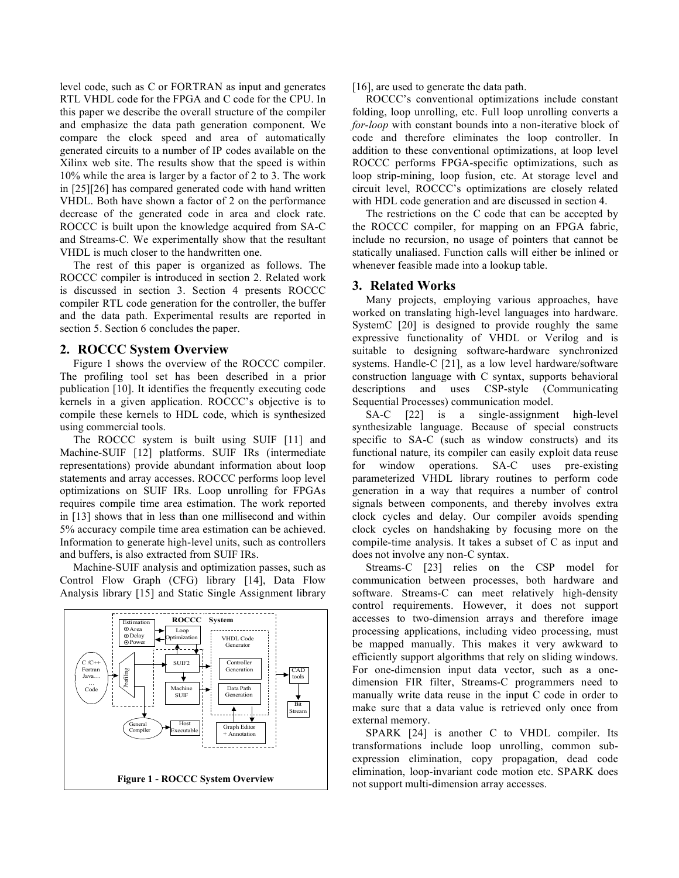level code, such as C or FORTRAN as input and generates RTL VHDL code for the FPGA and C code for the CPU. In this paper we describe the overall structure of the compiler and emphasize the data path generation component. We compare the clock speed and area of automatically generated circuits to a number of IP codes available on the Xilinx web site. The results show that the speed is within 10% while the area is larger by a factor of 2 to 3. The work in [25][26] has compared generated code with hand written VHDL. Both have shown a factor of 2 on the performance decrease of the generated code in area and clock rate. ROCCC is built upon the knowledge acquired from SA-C and Streams-C. We experimentally show that the resultant VHDL is much closer to the handwritten one.

The rest of this paper is organized as follows. The ROCCC compiler is introduced in section 2. Related work is discussed in section 3. Section 4 presents ROCCC compiler RTL code generation for the controller, the buffer and the data path. Experimental results are reported in section 5. Section 6 concludes the paper.

## **2. ROCCC System Overview**

Figure 1 shows the overview of the ROCCC compiler. The profiling tool set has been described in a prior publication [10]. It identifies the frequently executing code kernels in a given application. ROCCC's objective is to compile these kernels to HDL code, which is synthesized using commercial tools.

The ROCCC system is built using SUIF [11] and Machine-SUIF [12] platforms. SUIF IRs (intermediate representations) provide abundant information about loop statements and array accesses. ROCCC performs loop level optimizations on SUIF IRs. Loop unrolling for FPGAs requires compile time area estimation. The work reported in [13] shows that in less than one millisecond and within 5% accuracy compile time area estimation can be achieved. Information to generate high-level units, such as controllers and buffers, is also extracted from SUIF IRs.

Machine-SUIF analysis and optimization passes, such as Control Flow Graph (CFG) library [14], Data Flow Analysis library [15] and Static Single Assignment library



[16], are used to generate the data path.

ROCCC's conventional optimizations include constant folding, loop unrolling, etc. Full loop unrolling converts a *for-loop* with constant bounds into a non-iterative block of code and therefore eliminates the loop controller. In addition to these conventional optimizations, at loop level ROCCC performs FPGA-specific optimizations, such as loop strip-mining, loop fusion, etc. At storage level and circuit level, ROCCC's optimizations are closely related with HDL code generation and are discussed in section 4.

The restrictions on the C code that can be accepted by the ROCCC compiler, for mapping on an FPGA fabric, include no recursion, no usage of pointers that cannot be statically unaliased. Function calls will either be inlined or whenever feasible made into a lookup table.

## **3. Related Works**

Many projects, employing various approaches, have worked on translating high-level languages into hardware. SystemC [20] is designed to provide roughly the same expressive functionality of VHDL or Verilog and is suitable to designing software-hardware synchronized systems. Handle-C [21], as a low level hardware/software construction language with C syntax, supports behavioral descriptions and uses CSP-style (Communicating Sequential Processes) communication model.

SA-C [22] is a single-assignment high-level synthesizable language. Because of special constructs specific to SA-C (such as window constructs) and its functional nature, its compiler can easily exploit data reuse for window operations. SA-C uses pre-existing parameterized VHDL library routines to perform code generation in a way that requires a number of control signals between components, and thereby involves extra clock cycles and delay. Our compiler avoids spending clock cycles on handshaking by focusing more on the compile-time analysis. It takes a subset of C as input and does not involve any non-C syntax.

Streams-C [23] relies on the CSP model for communication between processes, both hardware and software. Streams-C can meet relatively high-density control requirements. However, it does not support accesses to two-dimension arrays and therefore image processing applications, including video processing, must be mapped manually. This makes it very awkward to efficiently support algorithms that rely on sliding windows. For one-dimension input data vector, such as a onedimension FIR filter, Streams-C programmers need to manually write data reuse in the input C code in order to make sure that a data value is retrieved only once from external memory.

SPARK [24] is another C to VHDL compiler. Its transformations include loop unrolling, common subexpression elimination, copy propagation, dead code elimination, loop-invariant code motion etc. SPARK does not support multi-dimension array accesses.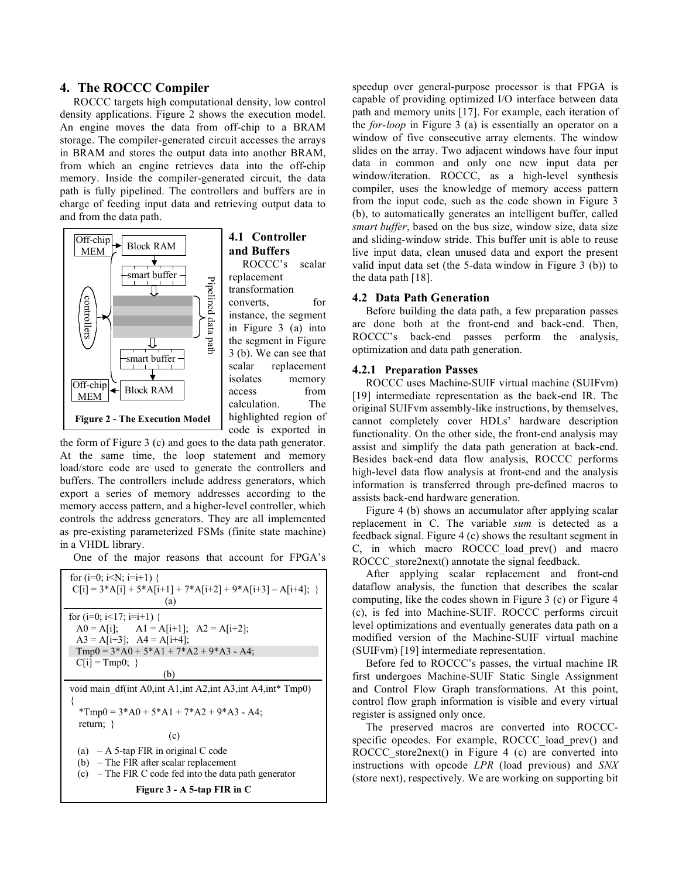## **4. The ROCCC Compiler**

ROCCC targets high computational density, low control density applications. Figure 2 shows the execution model. An engine moves the data from off-chip to a BRAM storage. The compiler-generated circuit accesses the arrays in BRAM and stores the output data into another BRAM, from which an engine retrieves data into the off-chip memory. Inside the compiler-generated circuit, the data path is fully pipelined. The controllers and buffers are in charge of feeding input data and retrieving output data to and from the data path.



**4.1 Controller and Buffers**

ROCCC's scalar replacement transformation converts, for instance, the segment in Figure 3 (a) into the segment in Figure 3 (b). We can see that scalar replacement isolates memory access from calculation. The highlighted region of code is exported in

the form of Figure 3 (c) and goes to the data path generator. At the same time, the loop statement and memory load/store code are used to generate the controllers and buffers. The controllers include address generators, which export a series of memory addresses according to the memory access pattern, and a higher-level controller, which controls the address generators. They are all implemented as pre-existing parameterized FSMs (finite state machine) in a VHDL library.

One of the major reasons that account for FPGA's

| for $(i=0; i< N; i=i+1)$ {<br>$C[i] = 3*A[i] + 5*A[i+1] + 7*A[i+2] + 9*A[i+3] - A[i+4];$<br>(a)                                              |
|----------------------------------------------------------------------------------------------------------------------------------------------|
| for $(i=0; i<17; i=i+1)$ {                                                                                                                   |
| $A0 = A[i];$ $A1 = A[i+1];$ $A2 = A[i+2];$                                                                                                   |
| $A3 = A[i+3]$ ; $A4 = A[i+4]$ ;                                                                                                              |
| $Tmp0 = 3*A0 + 5*A1 + 7*A2 + 9*A3 - A4;$                                                                                                     |
| $C[i] = Tmp0; \}$                                                                                                                            |
| (b)                                                                                                                                          |
| void main df(int A0, int A1, int A2, int A3, int A4, int* $Tmp0$ )                                                                           |
| *Tmp0 = $3*A0 + 5*A1 + 7*A2 + 9*A3 - A4$ ;                                                                                                   |
| return; $\}$                                                                                                                                 |
| (c)                                                                                                                                          |
| (a) $-A$ 5-tap FIR in original C code<br>$(b)$ – The FIR after scalar replacement<br>$(c)$ – The FIR C code fed into the data path generator |
| Figure 3 - A 5-tap FIR in C                                                                                                                  |

speedup over general-purpose processor is that FPGA is capable of providing optimized I/O interface between data path and memory units [17]. For example, each iteration of the *for-loop* in Figure 3 (a) is essentially an operator on a window of five consecutive array elements. The window slides on the array. Two adjacent windows have four input data in common and only one new input data per window/iteration. ROCCC, as a high-level synthesis compiler, uses the knowledge of memory access pattern from the input code, such as the code shown in Figure 3 (b), to automatically generates an intelligent buffer, called *smart buffer*, based on the bus size, window size, data size and sliding-window stride. This buffer unit is able to reuse live input data, clean unused data and export the present valid input data set (the 5-data window in Figure 3 (b)) to the data path [18].

## **4.2 Data Path Generation**

Before building the data path, a few preparation passes are done both at the front-end and back-end. Then, ROCCC's back-end passes perform the analysis, optimization and data path generation.

## **4.2.1 Preparation Passes**

ROCCC uses Machine-SUIF virtual machine (SUIFvm) [19] intermediate representation as the back-end IR. The original SUIFvm assembly-like instructions, by themselves, cannot completely cover HDLs' hardware description functionality. On the other side, the front-end analysis may assist and simplify the data path generation at back-end. Besides back-end data flow analysis, ROCCC performs high-level data flow analysis at front-end and the analysis information is transferred through pre-defined macros to assists back-end hardware generation.

Figure 4 (b) shows an accumulator after applying scalar replacement in C. The variable *sum* is detected as a feedback signal. Figure 4 (c) shows the resultant segment in C, in which macro ROCCC\_load\_prev() and macro ROCCC store2next() annotate the signal feedback.

After applying scalar replacement and front-end dataflow analysis, the function that describes the scalar computing, like the codes shown in Figure 3 (c) or Figure 4 (c), is fed into Machine-SUIF. ROCCC performs circuit level optimizations and eventually generates data path on a modified version of the Machine-SUIF virtual machine (SUIFvm) [19] intermediate representation.

Before fed to ROCCC's passes, the virtual machine IR first undergoes Machine-SUIF Static Single Assignment and Control Flow Graph transformations. At this point, control flow graph information is visible and every virtual register is assigned only once.

The preserved macros are converted into ROCCCspecific opcodes. For example, ROCCC load prev() and ROCCC store2next() in Figure  $4$  (c) are converted into instructions with opcode *LPR* (load previous) and *SNX* (store next), respectively. We are working on supporting bit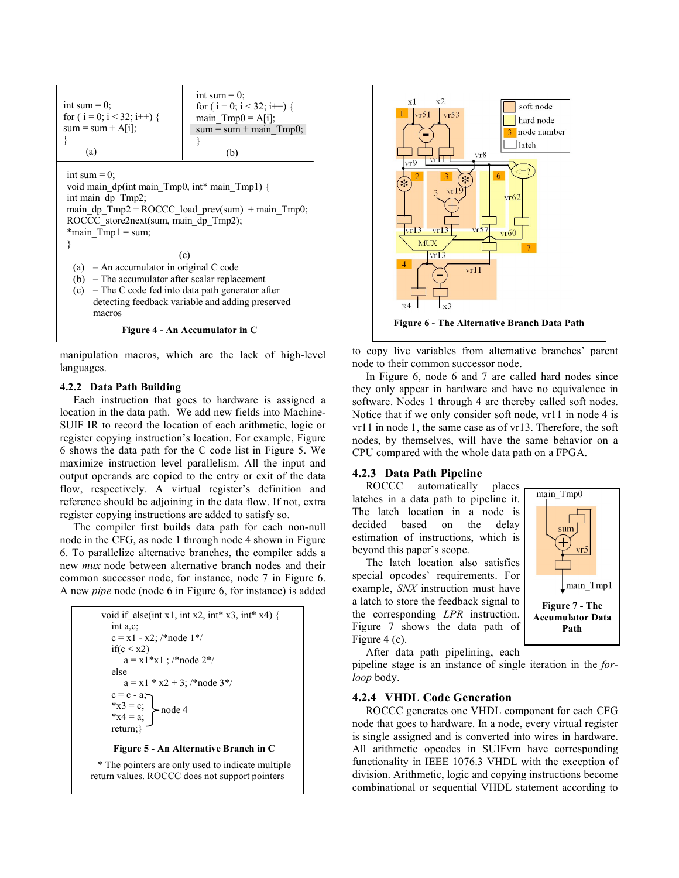| int sum $= 0$ ;<br>for ( $i = 0$ ; $i < 32$ ; $i++)$ {<br>$sum = sum + A[i];$<br>(a)                                                                  | int sum $= 0$ ;<br>for ( $i = 0$ ; $i < 32$ ; $i++$ ) {<br>main $Tmp0 = A[i]$ ;<br>$sum = sum + main$ Tmp0;<br>(b) |
|-------------------------------------------------------------------------------------------------------------------------------------------------------|--------------------------------------------------------------------------------------------------------------------|
| int sum $= 0$ ;<br>void main_dp(int main_Tmp0, int* main_Tmp1) {<br>int main dp Tmp2;<br>ROCCC store2next(sum, main dp Tmp2);<br>*main $Tmp1 = sum$ ; | main dp $Tmp2 = ROCCC$ load prev(sum) + main $Tmp0$ ;                                                              |
|                                                                                                                                                       | (c)                                                                                                                |
| (a) $-$ An accumulator in original C code                                                                                                             |                                                                                                                    |
| $(h) =$ The accumulator after scalar replacement                                                                                                      |                                                                                                                    |

' after scalar replacement (c) – The C code fed into data path generator after detecting feedback variable and adding preserved macros

**Figure 4 - An Accumulator in C**

manipulation macros, which are the lack of high-level languages.

#### **4.2.2 Data Path Building**

Each instruction that goes to hardware is assigned a location in the data path. We add new fields into Machine-SUIF IR to record the location of each arithmetic, logic or register copying instruction's location. For example, Figure 6 shows the data path for the C code list in Figure 5. We maximize instruction level parallelism. All the input and output operands are copied to the entry or exit of the data flow, respectively. A virtual register's definition and reference should be adjoining in the data flow. If not, extra register copying instructions are added to satisfy so.

The compiler first builds data path for each non-null node in the CFG, as node 1 through node 4 shown in Figure 6. To parallelize alternative branches, the compiler adds a new *mux* node between alternative branch nodes and their common successor node, for instance, node 7 in Figure 6. A new *pipe* node (node 6 in Figure 6, for instance) is added

```
void if else(int x1, int x2, int*x3, int*x4) {
int a,c;
c = x1 - x2; /*node 1*/
if(c < x2)
   a = x1 \cdot x1; /*node 2*/
else
   a = x1 \cdot x2 + 3; /*node 3*/
c = c - a;*_{x3} = c;
*_{x4} = a;return;}
            node 4
```
**Figure 5 - An Alternative Branch in C**

\* The pointers are only used to indicate multiple return values. ROCCC does not support pointers



to copy live variables from alternative branches' parent node to their common successor node.

In Figure 6, node 6 and 7 are called hard nodes since they only appear in hardware and have no equivalence in software. Nodes 1 through 4 are thereby called soft nodes. Notice that if we only consider soft node, vr11 in node 4 is vr11 in node 1, the same case as of vr13. Therefore, the soft nodes, by themselves, will have the same behavior on a CPU compared with the whole data path on a FPGA.

## **4.2.3 Data Path Pipeline**

ROCCC automatically places latches in a data path to pipeline it. The latch location in a node is decided based on the delay estimation of instructions, which is beyond this paper's scope.

The latch location also satisfies special opcodes' requirements. For example, *SNX* instruction must have a latch to store the feedback signal to the corresponding *LPR* instruction. Figure 7 shows the data path of Figure 4 (c).



After data path pipelining, each

pipeline stage is an instance of single iteration in the *forloop* body.

#### **4.2.4 VHDL Code Generation**

ROCCC generates one VHDL component for each CFG node that goes to hardware. In a node, every virtual register is single assigned and is converted into wires in hardware. All arithmetic opcodes in SUIFvm have corresponding functionality in IEEE 1076.3 VHDL with the exception of division. Arithmetic, logic and copying instructions become combinational or sequential VHDL statement according to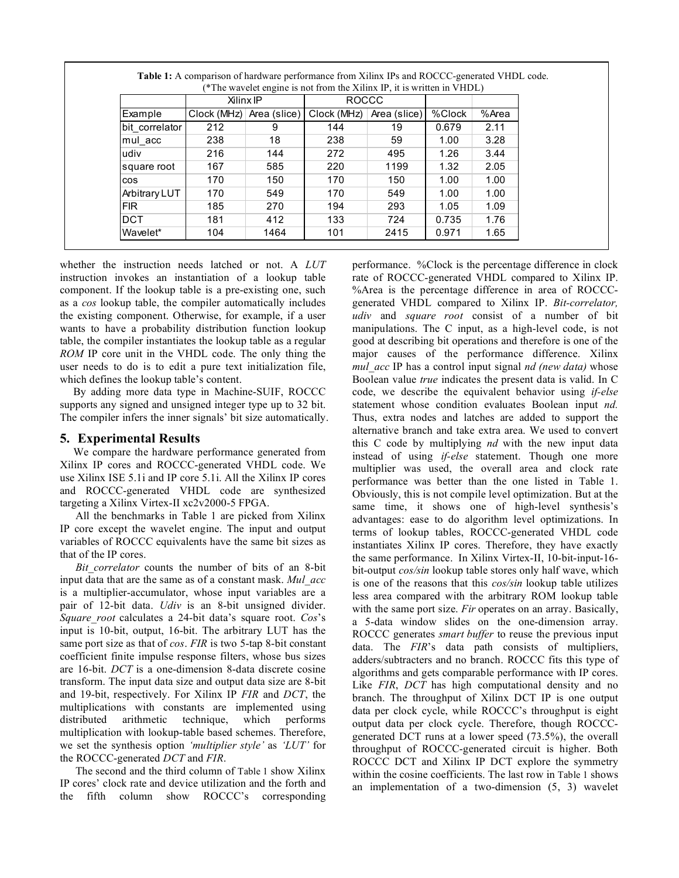| Example        | (*The wavelet engine is not from the Xilinx IP, it is written in VHDL)<br>Xilinx IP |                            | <b>ROCCC</b> |              |        |       |
|----------------|-------------------------------------------------------------------------------------|----------------------------|--------------|--------------|--------|-------|
|                |                                                                                     | Clock (MHz)   Area (slice) | Clock (MHz)  | Area (slice) | %Clock | %Area |
| bit correlator | 212                                                                                 | 9                          | 144          | 19           | 0.679  | 2.11  |
| mul acc        | 238                                                                                 | 18                         | 238          | 59           | 1.00   | 3.28  |
| udiv           | 216                                                                                 | 144                        | 272          | 495          | 1.26   | 3.44  |
| square root    | 167                                                                                 | 585                        | 220          | 1199         | 1.32   | 2.05  |
| <b>COS</b>     | 170                                                                                 | 150                        | 170          | 150          | 1.00   | 1.00  |
| Arbitrary LUT  | 170                                                                                 | 549                        | 170          | 549          | 1.00   | 1.00  |
| <b>FIR</b>     | 185                                                                                 | 270                        | 194          | 293          | 1.05   | 1.09  |
| <b>DCT</b>     | 181                                                                                 | 412                        | 133          | 724          | 0.735  | 1.76  |
| Wavelet*       | 104                                                                                 | 1464                       | 101          | 2415         | 0.971  | 1.65  |

**Table 1:** A comparison of hardware performance from Xilinx IPs and ROCCC-generated VHDL code.

whether the instruction needs latched or not. A *LUT* instruction invokes an instantiation of a lookup table component. If the lookup table is a pre-existing one, such as a *cos* lookup table, the compiler automatically includes the existing component. Otherwise, for example, if a user wants to have a probability distribution function lookup table, the compiler instantiates the lookup table as a regular *ROM* IP core unit in the VHDL code. The only thing the user needs to do is to edit a pure text initialization file, which defines the lookup table's content.

By adding more data type in Machine-SUIF, ROCCC supports any signed and unsigned integer type up to 32 bit. The compiler infers the inner signals' bit size automatically.

## **5. Experimental Results**

We compare the hardware performance generated from Xilinx IP cores and ROCCC-generated VHDL code. We use Xilinx ISE 5.1i and IP core 5.1i. All the Xilinx IP cores and ROCCC-generated VHDL code are synthesized targeting a Xilinx Virtex-II xc2v2000-5 FPGA.

All the benchmarks in Table 1 are picked from Xilinx IP core except the wavelet engine. The input and output variables of ROCCC equivalents have the same bit sizes as that of the IP cores.

*Bit correlator* counts the number of bits of an 8-bit input data that are the same as of a constant mask. *Mul\_acc* is a multiplier-accumulator, whose input variables are a pair of 12-bit data. *Udiv* is an 8-bit unsigned divider. *Square\_root* calculates a 24-bit data's square root. *Cos*'s input is 10-bit, output, 16-bit. The arbitrary LUT has the same port size as that of *cos*. *FIR* is two 5-tap 8-bit constant coefficient finite impulse response filters, whose bus sizes are 16-bit. *DCT* is a one-dimension 8-data discrete cosine transform. The input data size and output data size are 8-bit and 19-bit, respectively. For Xilinx IP *FIR* and *DCT*, the multiplications with constants are implemented using distributed arithmetic technique, which performs multiplication with lookup-table based schemes. Therefore, we set the synthesis option *'multiplier style'* as *'LUT'* for the ROCCC-generated *DCT* and *FIR*.

The second and the third column of Table 1 show Xilinx IP cores' clock rate and device utilization and the forth and the fifth column show ROCCC's corresponding performance. %Clock is the percentage difference in clock rate of ROCCC-generated VHDL compared to Xilinx IP. %Area is the percentage difference in area of ROCCCgenerated VHDL compared to Xilinx IP. *Bit-correlator, udiv* and *square root* consist of a number of bit manipulations. The C input, as a high-level code, is not good at describing bit operations and therefore is one of the major causes of the performance difference. Xilinx *mul\_acc* IP has a control input signal *nd (new data)* whose Boolean value *true* indicates the present data is valid. In C code, we describe the equivalent behavior using *if-else* statement whose condition evaluates Boolean input *nd.* Thus, extra nodes and latches are added to support the alternative branch and take extra area. We used to convert this C code by multiplying *nd* with the new input data instead of using *if-else* statement. Though one more multiplier was used, the overall area and clock rate performance was better than the one listed in Table 1. Obviously, this is not compile level optimization. But at the same time, it shows one of high-level synthesis's advantages: ease to do algorithm level optimizations. In terms of lookup tables, ROCCC-generated VHDL code instantiates Xilinx IP cores. Therefore, they have exactly the same performance. In Xilinx Virtex-II, 10-bit-input-16 bit-output *cos/sin* lookup table stores only half wave, which is one of the reasons that this *cos/sin* lookup table utilizes less area compared with the arbitrary ROM lookup table with the same port size. *Fir* operates on an array. Basically, a 5-data window slides on the one-dimension array. ROCCC generates *smart buffer* to reuse the previous input data. The *FIR*'s data path consists of multipliers, adders/subtracters and no branch. ROCCC fits this type of algorithms and gets comparable performance with IP cores. Like *FIR*, *DCT* has high computational density and no branch. The throughput of Xilinx DCT IP is one output data per clock cycle, while ROCCC's throughput is eight output data per clock cycle. Therefore, though ROCCCgenerated DCT runs at a lower speed (73.5%), the overall throughput of ROCCC-generated circuit is higher. Both ROCCC DCT and Xilinx IP DCT explore the symmetry within the cosine coefficients. The last row in Table 1 shows an implementation of a two-dimension (5, 3) wavelet